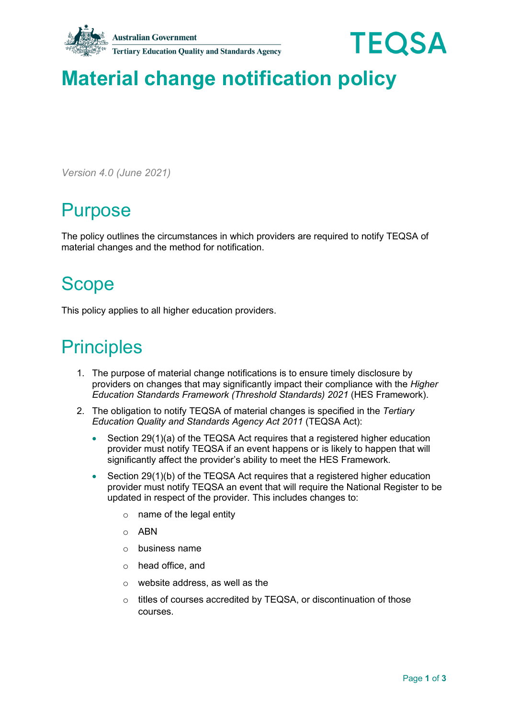

# **Material change notification policy**

*Version 4.0 (June 2021)*

## Purpose

The policy outlines the circumstances in which providers are required to notify TEQSA of material changes and the method for notification.

## **Scope**

This policy applies to all higher education providers.

#### **Principles**

- 1. The purpose of material change notifications is to ensure timely disclosure by providers on changes that may significantly impact their compliance with the *Higher Education Standards Framework (Threshold Standards) 2021* (HES Framework).
- 2. The obligation to notify TEQSA of material changes is specified in the *Tertiary Education Quality and Standards Agency Act 2011* (TEQSA Act):
	- Section 29(1)(a) of the TEQSA Act requires that a registered higher education provider must notify TEQSA if an event happens or is likely to happen that will significantly affect the provider's ability to meet the HES Framework.
	- Section 29(1)(b) of the TEQSA Act requires that a registered higher education provider must notify TEQSA an event that will require the National Register to be updated in respect of the provider. This includes changes to:
		- $\circ$  name of the legal entity
		- o ABN
		- o business name
		- o head office, and
		- o website address, as well as the
		- o titles of courses accredited by TEQSA, or discontinuation of those courses.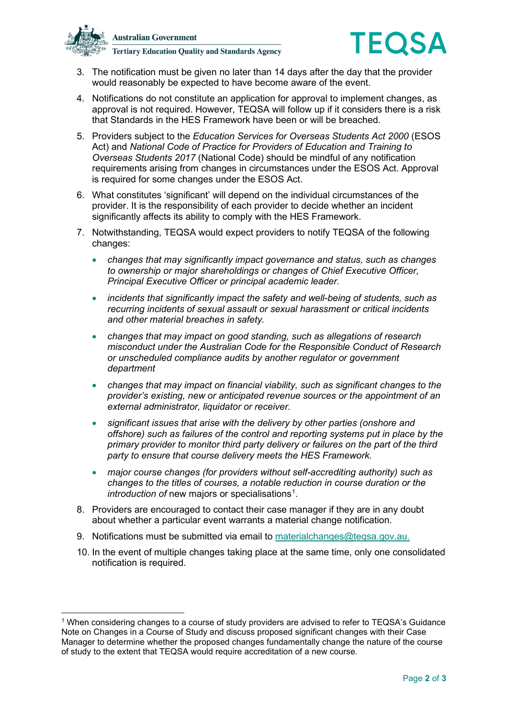



- 3. The notification must be given no later than 14 days after the day that the provider would reasonably be expected to have become aware of the event.
- 4. Notifications do not constitute an application for approval to implement changes, as approval is not required. However, TEQSA will follow up if it considers there is a risk that Standards in the HES Framework have been or will be breached.
- 5. Providers subject to the *Education Services for Overseas Students Act 2000* (ESOS Act) and *National Code of Practice for Providers of Education and Training to Overseas Students 2017* (National Code) should be mindful of any notification requirements arising from changes in circumstances under the ESOS Act. Approval is required for some changes under the ESOS Act.
- 6. What constitutes 'significant' will depend on the individual circumstances of the provider. It is the responsibility of each provider to decide whether an incident significantly affects its ability to comply with the HES Framework.
- 7. Notwithstanding, TEQSA would expect providers to notify TEQSA of the following changes:
	- *changes that may significantly impact governance and status, such as changes to ownership or major shareholdings or changes of Chief Executive Officer, Principal Executive Officer or principal academic leader.*
	- *incidents that significantly impact the safety and well-being of students, such as recurring incidents of sexual assault or sexual harassment or critical incidents and other material breaches in safety.*
	- *changes that may impact on good standing, such as allegations of research misconduct under the Australian Code for the Responsible Conduct of Research or unscheduled compliance audits by another regulator or government department*
	- *changes that may impact on financial viability, such as significant changes to the provider's existing, new or anticipated revenue sources or the appointment of an external administrator, liquidator or receiver.*
	- *significant issues that arise with the delivery by other parties (onshore and offshore) such as failures of the control and reporting systems put in place by the primary provider to monitor third party delivery or failures on the part of the third party to ensure that course delivery meets the HES Framework.*
	- *major course changes (for providers without self-accrediting authority) such as changes to the titles of courses, a notable reduction in course duration or the*  introduction of new majors or specialisations<sup>[1](#page-1-0)</sup>.
- 8. Providers are encouraged to contact their case manager if they are in any doubt about whether a particular event warrants a material change notification.
- 9. Notifications must be submitted via email to [materialchanges@teqsa.gov.au.](mailto:materialchanges@teqsa.gov.au)
- 10. In the event of multiple changes taking place at the same time, only one consolidated notification is required.

<span id="page-1-0"></span><sup>1</sup> When considering changes to a course of study providers are advised to refer to TEQSA's Guidance Note on Changes in a Course of Study and discuss proposed significant changes with their Case Manager to determine whether the proposed changes fundamentally change the nature of the course of study to the extent that TEQSA would require accreditation of a new course.